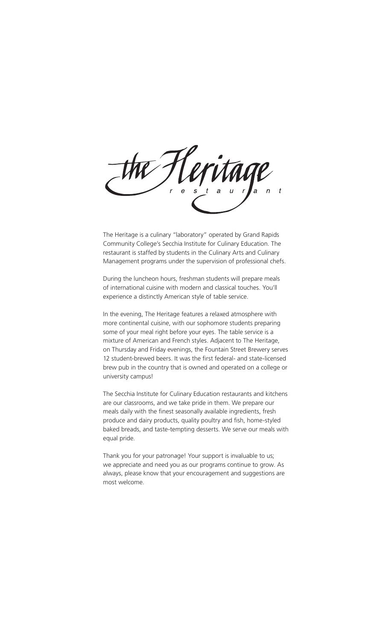The Heritage is a culinary "laboratory" operated by Grand Rapids Community College's Secchia Institute for Culinary Education. The restaurant is staffed by students in the Culinary Arts and Culinary Management programs under the supervision of professional chefs.

During the luncheon hours, freshman students will prepare meals of international cuisine with modern and classical touches. You'll experience a distinctly American style of table service.

In the evening, The Heritage features a relaxed atmosphere with more continental cuisine, with our sophomore students preparing some of your meal right before your eyes. The table service is a mixture of American and French styles. Adjacent to The Heritage, on Thursday and Friday evenings, the Fountain Street Brewery serves 12 student-brewed beers. It was the first federal- and state-licensed brew pub in the country that is owned and operated on a college or university campus!

The Secchia Institute for Culinary Education restaurants and kitchens are our classrooms, and we take pride in them. We prepare our meals daily with the finest seasonally available ingredients, fresh produce and dairy products, quality poultry and fish, home-styled baked breads, and taste-tempting desserts. We serve our meals with equal pride.

Thank you for your patronage! Your support is invaluable to us; we appreciate and need you as our programs continue to grow. As always, please know that your encouragement and suggestions are most welcome.